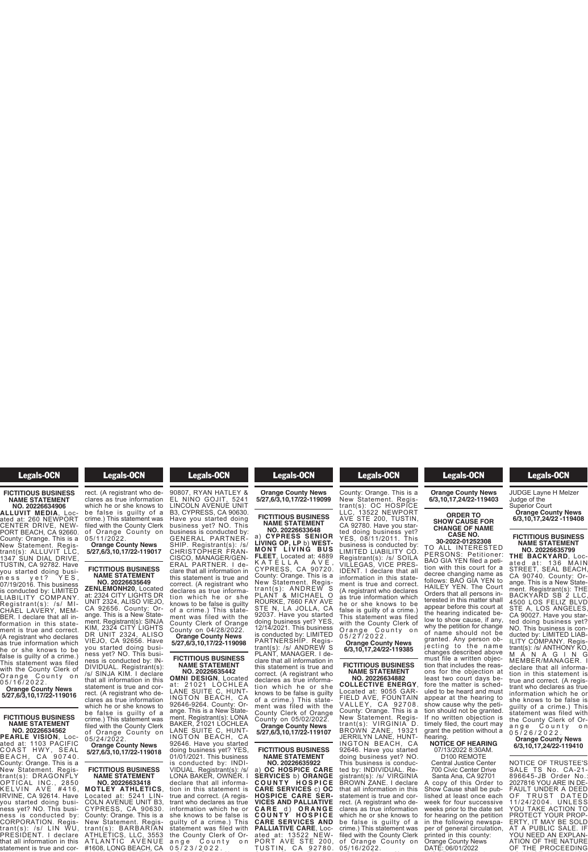# Legals-OCN

### **FICTITIOUS BUSINESS NAME STATEMENT NO. 20226634906**

**ALLUVIT MEDIA**, Located at: 260 NEWPORT CENTER DRIVE, NEW-PORT BEACH, CA 92660. County: Orange. This is a New Statement. Registrant(s): ALLUVIT LLC, 1347 SUN DIAL DRIVE, TUSTIN, CA 92782. Have you started doing business yet? YES, 07/19/2016. This business is conducted by: LIMITED LIABILITY COMPANY. Registrant(s): /s/ MI-CHAEL LAVERY, MEM-BER. I declare that all information in this statement is true and correct. (A registrant who declares as true information which he or she knows to be false is guilty of a crime.) This statement was filed with the County Clerk of Orange County on 0 5 / 1 6 / 2 0 2 2 .

**Orange County News 5/27,6/3,10,17/22-119016**

# **FICTITIOUS BUSINESS NAME STATEMENT**

**NO. 20226634562 PEARLE VISION**, Located at: 1103 PACIFIC COAST HWY, SEAL BEACH, CA 90740. County: Orange. This is a New Statement. Registrant(s): DRAGONFLY OPTICAL INC., 2850 K E L V IN A V E #416, IRVINE, CA 92614. Have you started doing business yet? NO. This business is conducted by: CORPORATION. Registrant(s): /s/ LIN WU, PRESIDENT. I declare that all information in this statement is true and cor-

#### **Legals-OCN**  $t_{\text{c}}$  is the set of  $t_{\text{c}}$

trant(s): /s/ LIN WU,

statement is true and correct. (A registrant who de-clares as true information which he or she knows to be false is guilty of a crime.) This statement was filed with the County Clerk of Orange County on 05/11/2022. **Orange County News**

**5/27,6/3,10,17/22-119017**

# **NAME STATEMENT NO. 20226635649**

**ZENLEMONH20**, Located at: 2324 CITY LIGHTS DR UNIT 2324, ALISO VIEJO, CA 92656. County: Orange. This is a New Statement. Registrant(s): SINJA KIM, 2324 CITY LIGHTS DR UNIT 2324, ALISO VIEJO, CA 92656. Have you started doing business yet? NO. This business is conducted by: IN-DIVIDUAL. Registrant(s): /s/ SINJA KIM. I declare that all information in this statement is true and correct. (A registrant who declares as true information which he or she knows to be false is guilty of a crime.) This statement was filed with the County Clerk of Orange County on

05/24/2022. **Orange County News 5/27,6/3,10,17/22-119018**

# **FICTITIOUS BUSINESS NAME STATEMENT**

**NO. 20226633418 MOTLEY ATHLETICS**, Located at: 5241 LIN-COLN AVENUE UNIT B3, CYPRESS, CA 90630. County: Orange. This is a New Statement. Registrant(s): BARBARIAN ATHLETICS, LLC, 3553 A T L A N T I C A V E N U E<br>#1608, LONG BEACH, CA

#### **Legals-OCN**  $\overline{\phantom{a}}$   $\overline{\phantom{a}}$   $\overline{\phantom{a}}$   $\overline{\phantom{a}}$   $\overline{\phantom{a}}$   $\overline{\phantom{a}}$

trant(s): BARBARIAN

#1608, LONG BEACH, CA

90807, RYAN HATLEY & EL NINO GOJIT, 5241 LINCOLN AVENUE UNIT B3, CYPRESS, CA 90630. Have you started doing business yet? NO. This business is conducted by: GENERAL PARTNER-SHIP. Registrant(s): /s/ CHRISTOPHER FRAN-CISCO, MANAGER/GEN-ERAL PARTNER. I declare that all information in this statement is true and correct. (A registrant who declares as true information which he or she knows to be false is guilty **FICTITIOUS BUSINESS**

of a crime.) This statement was filed with the County Clerk of Orange County on 04/28/2022. **Orange County News 5/27,6/3,10,17/22-119098**

## **FICTITIOUS BUSINESS NAME STATEMENT NO. 20226635442**

**OMNI DESIGN**, Located at: 21021 LOCHLEA LANE SUITE C, HUNT-INGTON BEACH, CA 92646-9264. County: Orange. This is a New Statement. Registrant(s): LONA BAKER, 21021 LOCHLEA LANE SUITE C, HUNT-INGTON BEACH, CA 92646. Have you started doing business yet? YES, 01/01/2021. This business is conducted by: INDI-VIDUAL. Registrant(s): /s/ LONA BAKER, OWNER. I

declare that all information in this statement is true and correct. (A registrant who declares as true information which he or she knows to be false is guilty of a crime.) This statement was filed with the County Clerk of Orange County on ange Count<br>05/23/2022.

# **Example County County Control**  $\overline{\phantom{a}}$   $\overline{\phantom{a}}$   $\overline{\phantom{a}}$   $\overline{\phantom{a}}$   $\overline{\phantom{a}}$   $\overline{\phantom{a}}$   $\overline{\phantom{a}}$   $\overline{\phantom{a}}$   $\overline{\phantom{a}}$   $\overline{\phantom{a}}$   $\overline{\phantom{a}}$   $\overline{\phantom{a}}$   $\overline{\phantom{a}}$   $\overline{\phantom{a}}$   $\overline{\phantom{a}}$   $\overline{\phantom{a}}$   $\overline{\phantom{a}}$   $\overline{\phantom{a}}$   $\overline{\$ 0 5 / 2 3 / 2 0 2 2 . **Orange County News 5/27,6/3,10,17/22-119099**

statement was filed with

# **FICTITIOUS BUSINESS NAME STATEMENT NO. 20226633648**

a) **CYPRESS SENIOR LIVING OP, LP** b) **WEST-M O N T L IVI N G B U S FLEET**, Located at: 4889 K A T E L L A A V E , CYPRESS, CA 90720. County: Orange. This is a New Statement. Registrant(s): ANDREW S PLANT & MICHAEL O ROURKE, 7660 FAY AVE STE N, LA JOLLA, CA 92037. Have you started doing business yet? YES, 12/14/2021. This business is conducted by: LIMITED PARTNERSHIP. Regis-trant(s): /s/ ANDREW S PLANT, MANAGER. I declare that all information in this statement is true and correct. (A registrant who<br>declares as true informadeclares as true information which he or she knows to be false is guilty of a crime.) This statement was filed with the County Clerk of Orange County on 05/02/2022. **Orange County News 5/27,6/3,10,17/22-119107**

# **FICTITIOUS BUSINESS NAME STATEMENT**

**NO. 20226635922** a) **OC HOSPICE CARE SERVICES** b) **ORANGE C O U N T Y H O S P I C E CARE SERVICES** c) **OC HOSPICE CARE SER-VICES AND PALLIATIVE C A R E** d ) **O R A N G E C O U N T Y H O S P I C E CARE SERVICES AND PALLIATIVE CARE**, Located at: 13522 NEW-PORT AVE STE 200, TUSTIN, CA 92780

T U ST I N , C A 9 2 7 8 0 . County: Orange. This is a<br>New Statement. Registrant(s): OC HOSPICE LLC, 13522 NEWPORT AVE STE 200, TUSTIN, CA 92780. Have you star-

**Example 3 Legals-OCN PALLIATIVE CARE**, Loc-PORT AVE STE 200,

ted doing business yet? YES, 08/11/2011. This business is conducted by: LIMITED LIABILITY CO. Registrant(s): /s/ SOILA VILLEGAS, VICE PRES-IDENT. I declare that all information in this statement is true and correct. (A registrant who declares as true information which he or she knows to be false is guilty of a crime.) This statement was filed with the County Clerk of Orange County on 0 5 / 2 7 / 2 0 2 2 . **Orange County News 6/3,10,17,24/22-119385**

# **FICTITIOUS BUSINESS NAME STATEMENT**

**NO. 20226634882 COLLECTIVE ENERGY**, Located at: 9055 GAR-FIELD AVE, FOUNTAIN VALLEY, CA 92708. County: Orange. This is a New Statement. Registrant(s): VIRGINIA D. BROWN ZANE, 19321 JERRILYN LANE, HUNT-INGTON BEACH, CA 92646. Have you started doing business yet? NO. This business is conducted by: INDIVIDUAL. Registrant(s): /s/ VIRGINIA BROWN ZANE. I declare that all information in this statement is true and correct. (A registrant who declares as true information which he or she knows to be false is guilty of a crime.) This statement was filed with the County Clerk of Orange County on<br>05/16/2022.

#### **Example 2** Legals-OCN crime.) This statement was **of** Orange County of Orange County of  $\overline{a}$

# 05/16/2022. **Orange County News 6/3,10,17,24/22-119403**

# **ORDER TO SHOW CAUSE FOR**

#### **CHANGE OF NAME CASE NO. 30-2022-01252308**

TO ALL INTERESTED PERSONS: Petitioner: BAO GIA YEN filed a petition with this court for a decree changing name as follows: BAO GIA YEN to HAILEY YEN. The Court Orders that all persons interested in this matter shall appear before this court at the hearing indicated below to show cause, if any, why the petition for change of name should not be granted. Any person ob-<br>jecting to the name changes described above must file a written objection that includes the reasons for the objection at least two court days before the matter is scheduled to be heard and must appear at the hearing to show cause why the petition should not be granted. If no written objection is timely filed, the court may grant the petition without a

#### hearing. **NOTICE OF HEARING** 07/13/2022 8:30AM.

D100 REMOTE Central Justice Center 700 Civic Center Drive Santa Ana, CA 92701 A copy of this Order to Show Cause shall be published at least once each week for four successive weeks prior to the date set for hearing on the petition in the following newspaper of general circulation, printed in this county: Orange County News DATE: 06/01/2022

#### **Example 12** Legals-OCN **County News** DATE: 06/01/2022

per of general circulation,

JUDGE Layne H Melzer<br>Judge of the Superior Court<br>Superior Court **Orange County News**

**6/3,10,17,24/22 -119408**

## **FICTITIOUS BUSINESS NAME STATEMENT NO. 20226635799**

**THE BACKYARD**, Located at: 136 MAIN STREET, SEAL BEACH, CA 90740. County: Orange. This is a New Statement. Registrant(s): THE BACKYARD SB 2 LLC, 4500 LOS FELIZ BLVD STE A, LOS ANGELES, CA 90027. Have you started doing business yet? NO. This business is conducted by: LIMITED LIAB-ILITY COMPANY. Regis-trant(s): /s/ ANTHONY KO, M A N A G I N G MEMBER/MANAGER. I declare that all information in this statement is true and correct. (A registrant who declares as true information which he or she knows to be false is guilty of a crime.) This statement was filed with the County Clerk of Orange County on

#### 0 5 / 2 6 / 2 0 2 2 . **Orange County News 6/3,10,17,24/22-119410**

NOTICE OF TRUSTEE'S SALE TS No. CA-21- 896645-JB Order No.: 2027816 YOU ARE IN DE-FAULT UNDER A DEED OF TRUST DATED 11/24/2004. UNLESS YOU TAKE ACTION TO PROTECT YOUR PROP-ERTY, IT MAY BE SOLD AT A PUBLIC SALE. IF YOU NEED AN EXPLAN-ATION OF THE NATURE OF THE PROCEEDING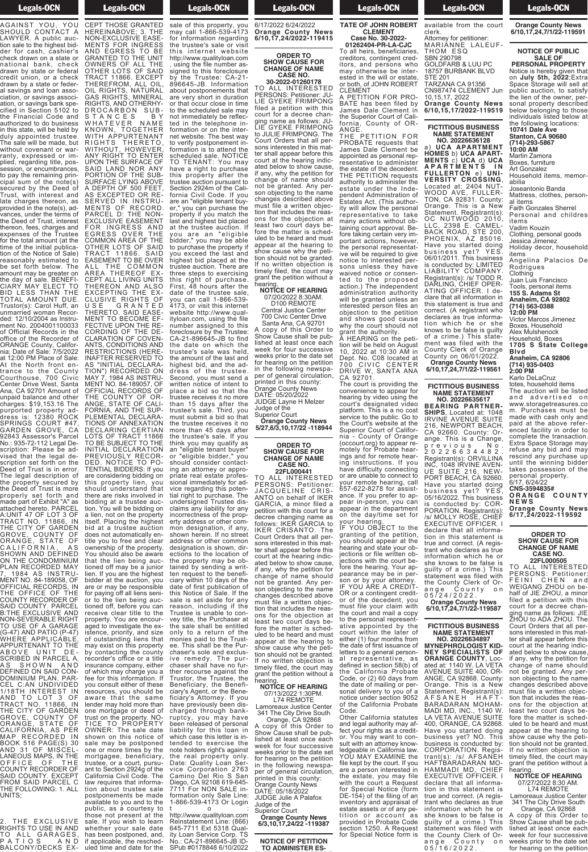#### **Legals-OCN**  $\overline{\phantom{a}}$ OF THE PROCEEDING

AGAINST YOU, YOU SHOULD CONTACT A LAWYER. A public auction sale to the highest bidder for cash, cashier's check drawn on a state or national bank, check drawn by state or federal credit union, or a check drawn by a state or federal savings and loan association, or savings association, or savings bank specified in Section 5102 to the Financial Code and authorized to do business in this state, will be held by duly appointed trustee. The sale will be made, but without covenant or warranty, expressed or implied, regarding title, possession, or encumbrances, to pay the remaining principal sum of the note(s) secured by the Deed of Trust, with interest and late charges thereon, as provided in the note(s), advances, under the terms of the Deed of Trust, interest thereon, fees, charges and expenses of the Trustee for the total amount (at the time of the initial publication of the Notice of Sale) reasonably estimated to be set forth below. The amount may be greater on the day of sale. BENEFI-CIARY MAY ELECT TO BID LESS THAN THE TOTAL AMOUNT DUE. Trustor(s): Carol Huff, an unmarried woman Recorded: 12/10/2004 as Instrument No. 2004001100033 of Official Records in the office of the Recorder of ORANGE County, California; Date of Sale: 7/5/2022 at 12:00 PM Place of Sale: At the North front entrance to the County Courthouse, 700 Civic Center Drive West, Santa Ana, CA 92701 Amount of unpaid balance and other charges: \$19,153.16 The purported property address is: 12380 ROCK SPRINGS COURT #47, GARDEN GROVE, CA 92843 Assessor's Parcel No.: 935-72-112 Legal Description: Please be advised that the legal description set forth on the Deed of Trust is in error. The legal description of the property secured by the Deed of Trust is more properly set forth and made part of Exhibit "A" as attached hereto. PARCEL A:UNIT 47 OF LOT 3 OF TRACT NO. 11866, IN THE CITY OF GARDEN GROVE, COUNTY OF ORANGE, STATE OF CALIFORNIA, AS CALIFORNIA, AS<br>SHOWN AND DEFINED<br>ON THE CONDOMINIUM ON THE CONDOMINIUM PLAN RECORDED MAY

7, 1984 AS INSTRU-MENT NO. 84-189058, OF OFFICIAL RECORDS, IN THE OFFICE OF THE COUNTY RECORDER OF SAID COUNTY. PARCEL B:THE EXCLUSIVE AND NON-SEVERABLE RIGHT TO USE OF A GARAGE (G-47) AND PATIO (P-47) WHERE APPLICABLE, APPURTENANT TO THE ABOVE UNIT DE-SCRIBED IN PARCEL A, AS SHOWN AND DEFINED ON SAID CON-DOMINIUM PLAN. PAR-CEL C:AN UNDIVIDED 1/18TH INTEREST IN AND TO LOT 3 OF TRACT NO. 11866, IN THE CITY OF GARDEN GROVE, COUNTY OF ORANGE, STATE OF CALIFORNIA, AS PER MAP RECORDED IN BOOK 516 PAGE(S) 30 AND 31 OF MISCEL-LANEOUS MAPS, IN THE OFFICE OF THE OUNTY RECORDER OF SAID COUNTY. EXCEPT FROM SAID PARCEL C THE FOLLOWING: 1. ALL UNITS;

THE EXCLUSIVE RIGHTS TO USE IN AND TO ALL GARAGES,<br>PATIOS AND BALCONY/DECKS EX- **Example 1** Legals-OCN **Programs** Contract to the Manus of the Manus of the Manus of the Manus of the Manus of the Manus of the Manus of the Manus of the Manus of the Manus of the Manus of the Manus of the Manus of the Manus of the Manus of the

BALCONY/DECKS EX-CEPT THOSE GRANTED **has been been postponed, and has been postponed, and develop to the except of the set of the set of the set of the set of the set of the set of the set of the set of the set of the set of the set of the set of the set of**  $\overline{\phantom{a}}$  applies bere uled time and date for the sale of this property, you

may call 1-866-539-4173 for information regarding HEREINABOVE; 3. THE NON-EXCLUSIVE EASE-MENTS FOR INGRESS AND EGRESS TO BE GRANTED TO THE UNIT OWNERS OF ALL THE OTHER LOTS OF SAID TRACT 11866. EXCEPT THEREFROM, ALL OIL, OIL RIGHTS, NATURAL GAS RIGHTS, MINERAL RIGHTS, AND OTHERHY-DROCARBON SUB-S T A N C E S B Y WHATEVER NAME KNOWN, TOGETHER WITH APPURTENANT RIGHTS THERETO, WITHOUT, HOWEVER, ANY RIGHT TO ENTER UPON THE SURFACE OF SAID LAND NOR ANY PORTION OF THE SUB-SURFACE LYING ABOVE A DEPTH OF 500 FEET, AS EXCEPTED OR RE-SERVED IN INSTRU-MENTS OF RECORD. PARCEL D: THE NON-EXCLUSIVE EASEMENT FOR INGRESS AND EGRESS OVER THE COMMON AREA OF THE OTHER LOTS OF SAID TRACT 11866. SAID EASEMENT TO BE OVER ALL THE COMMON AREA THEREOF EX-CEPT ALL LIVING UNITS THEREON AND ALSO EXCEPTING THE EX-CLUSIVE RIGHTS OF U S E G R A N T E D THERETO. SAID EASE-MENT TO BECOME EF-FECTIVE UPON THE RE-CORDING OF THE DE-CLARATION OF COVEN-ANTS, CONDITIONS AND RESTRICTIONS (HERE-INAFTER RESERVED TO AS "INITIAL DECLARA-TION") RECORDED ON MAY 7, 1984 AS INSTRU-MENT NO. 84-189057, OF OFFICIAL RECORDS OF THE COUNTY OF OR-ANGE, STATE OF CALI-FORNIA, AND THE SUP-PLEMENTAL DECLARA-TIONS OF ANNEXATION DECLARING CERTIAN LOTS OF TRACT 11866 TO BE SUBJECT TO THE INITIAL DECLARATION PREVIOUSLY RECOR-DED. NOTICE TO PO-TENTIAL BIDDERS: If you are considering bidding on this property lien, you should understand that there are risks involved in bidding at a trustee auction. You will be bidding on a lien, not on the property itself. Placing the highest bid at a trustee auction does not automatically entitle you to free and clear ownership of the property. You should also be aware that the lien being auctioned off may be a junior lien. If you are the highest bidder at the auction, you are or may be responsible for paying off all liens senior to the lien being auctioned off, before you can receive clear title to the property. You are encouraged to investigate the existence, priority, and size of outstanding liens that<br>may exist on this property by contacting the county recorder's office or a title insurance company, either of which may charge you a fee for this information. If you consult either of these resources, you should be aware that the same lender may hold more than one mortgage or deed of trust on the property. NO-TICE TO PROPERTY OWNER: The sale date shown on this notice of sale may be postponed one or more times by the mortgagee, beneficiary, trustee, or a court, pursuant to Section 2924g of the California Civil Code. The law requires that information about trustee sale<br>postponements be made postponements be made<br>available to you and to the public, as a courtesy to those not present at the sale. If you wish to learn whether your sale date has been postponed, and,<br>if applicable, the rescheduled time and date for the

the trustee's sale or visit this internet website http://www.qualityloan.com , using the file number assigned to this foreclosure by the Trustee: CA-21- 896645-JB. Information about postponements that are very short in duration or that occur close in time to the scheduled sale may not immediately be reflected in the telephone information or on the internet website. The best way to verify postponement information is to attend the scheduled sale. NOTICE TO TENANT: You may have a right to purchase this property after the trustee auction pursuant to Section 2924m of the California Civil Code. If you are an "eligible tenant buyer," you can purchase the property if you match the last and highest bid placed at the trustee auction. If you are an "eligible bidder," you may be able to purchase the property if you exceed the last and highest bid placed at the trustee auction. There are three steps to exercising this right of purchase. First, 48 hours after the date of the trustee sale, you can call 1-866-539- 4173, or visit this internet website http://www.qualityloan.com, using the file number assigned to this foreclosure by the Trustee: CA-21-896645-JB to find the date on which the trustee's sale was held, the amount of the last and highest bid, and the address of the trustee. Second, you must send a written notice of intent to place a bid so that the trustee receives it no more than 15 days after the trustee's sale. Third, you must submit a bid so that the trustee receives it no more than 45 days after the trustee's sale. If you think you may qualify as an "eligible tenant buyer" or "eligible bidder," you should consider contacting an attorney or appropriate real estate professional immediately for advice regarding this potential right to purchase. The undersigned Trustee disclaims any liability for any incorrectness of the property address or other common designation, if any, shown herein. If no street address or other common designation is shown, directions to the location of the property may be obtained by sending a written request to the beneficiary within 10 days of the date of first publication of this Notice of Sale. If the sale is set aside for any reason, including if the Trustee is unable to convey title, the Purchaser at the sale shall be entitled only to a return of the monies paid to the Trustee. This shall be the Purchaser's sole and exclusive remedy. The purchaser shall have no further recourse against the Trustor, the Trustee, the Beneficiary, the Beneficiary's Agent, or the Beneficiary's Attorney. If you have previously been discharged through bankruptcy, you may have been released of personal liability for this loan in which case this letter is intended to exercise the note holders right's against the real property only. Date: Quality Loan Service Corporation 2763 Camino Del Rio S San Diego, CA 92108 619-645- 7711 For NON SALE information only Sale Line: 1-866-539-4173 Or Login t o :

http://www.qualityloan.com Reinstatement Line: (866) Remstatement Emp. (555) ity Loan Service Corp. TS No.: CA-21-896645-JB ID-SPub #0178848 6/10/2022

# **Example 20 Legals-OCN**  $\frac{1}{2}$

SPub #0178848 6/10/2022 6/17/2022 6/24/2022 **Orange County News 6/10,17,24/2022-119415**

# **ORDER TO SHOW CAUSE FOR CHANGE OF NAME CASE NO.**

**30-2022-01260178** TO ALL INTERESTED PERSONS: Petitioner: JU-LIE GYEKE FRIMPONG filed a petition with this court for a decree changing name as follows: JU-LIE GYEKE FRIMPONG to JULIE FRIMPONG. The Court Orders that all persons interested in this matter shall appear before this court at the hearing indicated below to show cause, if any, why the petition for change of name should not be granted. Any person objecting to the name changes described above must file a written objection that includes the reasons for the objection at least two court days before the matter is scheduled to be heard and must appear at the hearing to show cause why the petition should not be granted. If no written objection is timely filed, the court may grant the petition without a

# hearing. **NOTICE OF HEARING** 07/20/2022 8:30AM. D<sub>100</sub> REMOTE

Central Justice Center 700 Civic Center Drive Santa Ana, CA 92701

A copy of this Order to Show Cause shall be published at least once each week for four successive weeks prior to the date set for hearing on the petition in the following newspaper of general circulation, printed in this county: Orange County News DATE: 05/20/2022 JUDGE Layne H Melzer Judge of the

Superior Court **Orange County News**

# **ORDER TO SHOW CAUSE FOR CHANGE OF NAME CASE NO.**

**5/27,6/3,10,17/22 -118944**

**22FL000441** TO ALL INTERESTED PERSONS: Petitioner: JACQUELINE CRIS-ANTO on behalf of IKER GARCIA, a minor filed a petition with this court for a decree changing name as follows: IKER GARCIA to IKER CRISANTO. The Court Orders that all persons interested in this matter shall appear before this court at the hearing indicated below to show cause, if any, why the petition for change of name should not be granted. Any person objecting to the name changes described above must file a written objection that includes the reasons for the objection at least two court days before the matter is scheduled to be heard and must appear at the hearing to show cause why the petition should not be granted. If no written objection is timely filed, the court may grant the petition without a hearing. **NOTICE OF HEARING**

07/13/2022 1:30PM. L74 REMOTE Lamoreaux Justice Center

341 The City Drive South Orange, CA 92868 A copy of this Order to Show Cause shall be published at least once each week for four successive weeks prior to the date for hearing on the petition in the following newspaper of general circulation, printed in this county: Orange County News DATE: 05/18/2022 JUDGE Julie A Palafox Judge of the Superior Court **Orange County News 6/3,10,17,24/22 -119387**

**NOTICE OF PETITION TO ADMINISTER ES-**

# **Legals-OCN TO ADMINISTER ES-**

**TATE OF JOHN ROBERT CLEMENT**

# **Case No. 30-2022- 01262404-PR-LA-CJC**

To all heirs, beneficiaries, creditors, contingent creditors, and persons who may otherwise be interested in the will or estate or both, of JOHN ROBERT CLEMENT

A PETITION FOR PRO-BATE has been filed by James Dale Clement in the Superior Court of California, County of OR-ANGE.

THE PETITION FOR PROBATE requests that James Dale Clement be appointed as personal representative to administer the estate of the decedent. THE PETITION requests authority to administer the estate under the Independent Administration of Estates Act. (This authority will allow the personal representative to take many will discuss the person<br>representative to the many actions without taining court approval. Before taking certain very important actions, however, the personal representative will be required to give notice to interested persons unless they have waived notice or consented to the proposed action.) The independent administration authority will be granted unless an interested person files an objection to the petition and shows good cause why the court should not grant the authority.

A HEARING on the petition will be held on August 10, 2022 at 10:30 AM in Dept. No. C08 located at 700 CIVIC CENTER DRIVE W, SANTA ANA CA 92701.

The court is providing the convenience to appear for hearing by video using the court's designated video platform. This is a no cost service to the public. Go to the Court's website at the Superior Court of Califor-<br>nia - County of Orange (occourt.org) to appear remotely for Probate hearings and for remote hearing instructions. If you have difficulty connecting or are unable to connect to your remote hearing, call 657-622-8278 for assistance. If you prefer to appear in-person, you can appear in the department on the day/time set for your hearing.

IF YOU OBJECT to the granting of the petition, you should appear at the hearing and state your objections or file written objections with the court before the hearing. Your appearance may be in person or by your attorney. IF YOU ARE A CREDIT-OR or a contingent creditor of the decedent, you must file your claim with the court and mail a copy the court and mail a copy<br>to the personal representative appointed by the court within the later of either (1) four months from the date of first issuance of letters to a general personal representative, as defined in section 58(b) of the California Probate Code, or (2) 60 days from the date of mailing or personal delivery to you of a notice under section 9052 of the California Probate Code.<br>Other California statutes Other California statutes

and legal authority may affect your rights as a creditor. You may want to consult with an attorney knowledgeable in California law. YOU MAY EXAMINE the file kept by the court. If you are a person interested in the estate, you may file with the court a Request for Special Notice (form DE-154) of the filing of an inventory and appraisal of estate assets or of any petition or ac count a s provided in Probate Code<br>section 1250. A Request for Special Notice form is

# **Example 1** Legals-OCN  $s_{\text{s}}$   $\frac{1}{2}$

for Special Notice for Special Notice for Special Notice for Special Notice for Special Notice for Special Not available from the court clerk. Attorney for petitioner: MARIANNE LALEUF-

THOM ESQ SBN 290798 GOLDFARB & LUU PC 18757 BURBANK BLVD STE 201

TARZANA CA 91356 CN987474 CLEMENT Jun 10,15,17, 2022 **Orange County News**

**6/10,15,17/2022-119519 FICTITIOUS BUSINESS**

**NAME STATEMENT NO. 20226636128** a) **UCA APARTMENT HOMES** b) **UCA APART-MENTS** c) **UCA** d) **UCA A P A R T M E N T S I N FULLERTON** e) **UNI-VERSITY CROSSING**, Located at: 2404 NUT-WOOD AVE, FULLER-TON, CA 92831. County: Orange. This is a New Statement. Registrant(s): OC NUTWOOD 2010, LLC, 2398 E. CAMEL-BACK ROAD, STE 200, PHOENIX, AZ 85016. Have you started doing business yet? YES. 06/01/2011. This business is conducted by: LIMITED LIABILITY COMPANY. Registrant(s): /s/ TODD R. DARLING, CHIEF OPER-ATING OFFICER. I declare that all information in this statement is true and correct. (A registrant who declares as true information which he or she knows to be false is guilty of a crime.) This statement was filed with the County Clerk of Orange County on 06/01/2022. **Orange County News 6/10,17,24,7/1/22-119561**

**FICTITIOUS BUSINESS NAME STATEMENT**

**NO. 20226635617 BEARING PARTNER SHIPS**, Located at: 1048 IRVINE AVENUE SUITE 216, NEWPORT BEACH, CA 92660. County: Orange. This is a Change, previous No. 2 0 2 2 6 6 3 4 4 8 2 . Registrant(s): ORVILLINA INC, 1048 IRVINE AVEN-UE SUITE 216, NEW-PORT BEACH, CA 92660. Have you started doing business yet? YES, 05/16/2022. This business is conducted by: COR-PORATION. Registrant(s): /s/ MOLLY ROSE, CHIEF EXECUTIVE OFFICER. I declare that all information in this statement is true and correct. (A registrant who declares as true<br>information which he or information which she knows to be false is guilty of a crime.) This statement was filed with the County Clerk of Orange County on ange Coun<br>05/24/2022

**Orange County News 6/10,17,24,7/1/22-119587**

## **FICTITIOUS BUSINESS NAME STATEMENT NO. 20226634897**

**MYNEPHROLOGIST KID-NEY SPECIALISTS OF ORANGE COUNTY**, Located at: 1140 W. LA VETA AVENUE SUITE 400, OR-ANGE, CA 92868. County: Orange. This is a New Statement. Registrant(s): A F S A N E H H A F T - BARADARAN MOHAM-MADI MD, INC., 1140 W. LA VETA AVENUE SUITE 400, ORANGE, CA 92868. Have you started doing business yet? NO. This business is conducted by: CORPORATION. Registrant(s): /s/ AFSANEH HAFTBARADARAN MO-HAMMADI MD, CHIEF EXECUTIVE OFFICER. I declare that all information in this statement is true and correct. (A registrant who declares as true information which he or she knows to be false is guilty of a crime.) This statement was filed with the County Clerk of Orange County on

ange Count<br>05/16/2022.

# **Example County County Control**  $\overline{\phantom{a}}$   $\overline{\phantom{a}}$   $\overline{\phantom{a}}$   $\overline{\phantom{a}}$   $\overline{\phantom{a}}$   $\overline{\phantom{a}}$   $\overline{\phantom{a}}$   $\overline{\phantom{a}}$   $\overline{\phantom{a}}$   $\overline{\phantom{a}}$   $\overline{\phantom{a}}$   $\overline{\phantom{a}}$   $\overline{\phantom{a}}$   $\overline{\phantom{a}}$   $\overline{\phantom{a}}$   $\overline{\phantom{a}}$   $\overline{\phantom{a}}$   $\overline{\phantom{a}}$   $\overline{\$

# 0 5 / 1 6 / 2 0 2 2 . **Orange County News 6/10,17,24,7/1/22-119591**

# **NOTICE OF PUBLIC SALE OF**

**PERSONAL PROPERTY** Notice is hereby given that on **July 5th, 2022**;Extra Space Storage will sell at public auction, to satisfy the lien of the owner, personal property described below belonging to those individuals listed below at

the following locations: **10741 Dale Ave Stanton, CA 90680 (714)-293-5867 10:00 AM** Martin Zamora Boxes, furniture Art Gonzalez Household items, memorabilia Joseantonio Banda Mattress, clothes, person-

al items Faith Gonzales Sherrel Personal and childres

items Vadim Kouzin Clothing, personal goods

Jessica Jimenez Holiday decor, household items

Angelina Palacios De Rodrigues Clothing<br>Juan Luis Francisco

Juan Luis Francisco Tools, personal items **155 S. Adams St Anaheim, CA 92802**

**(714) 563-0388 12:00 PM**

Victor Marcos Jimenez Boxes, Household Alex Mulshenock Household, Boxes

**1705 S State College Blvd**

**Anaheim, CA 92806 (714) 935-0403 2:00 PM**

Karlo DeLaCruz totes, household items

The auction will be listed and advertised on www.storagetreasures.co m. Purchases must be made with cash only and paid at the above referenced facility in order to complete the transaction. Extra Space Storage may refuse any bid and may rescind any purchase up until the winning bidder takes possession of the personal property.

6/17, 6/24/22 **CNS-3594835#**

**O R A N G E C O U N T Y N E W S Orange County News 6/17,24/2022-119592**

> **ORDER TO SHOW CAUSE FOR CHANGE OF NAME CASE NO. 22FL000505**

TO ALL INTERESTED PERSONS: Petitioner: FEINI CHEN and WEIGANG ZHOU on behalf of JIE ZHOU, a minor filed a petition with this court for a decree changing name as follows: JIE ZHOU to ADA ZHOU. The Court Orders that all persons interested in this matter shall appear before this court at the hearing indic-ated below to show cause, if any, why the petition for change of name should not be granted. Any person objecting to the name changes described above must file a written objection that includes the reasons for the objection at least two court days before the matter is scheduled to be heard and must appear at the hearing to show cause why the petition should not be granted.<br>If no written objection is

# grant the petition without a hearing. **NOTICE OF HEARING** 07/27/2022 8:30 AM.

timely filed, the court may

L74 REMOTE Lamoreaux Justice Center 341 The City Drive South

Orange, CA 92868 A copy of this Order to Show Cause shall be published at least once each week for four successive weeks prior to the date set for hearing on the petition